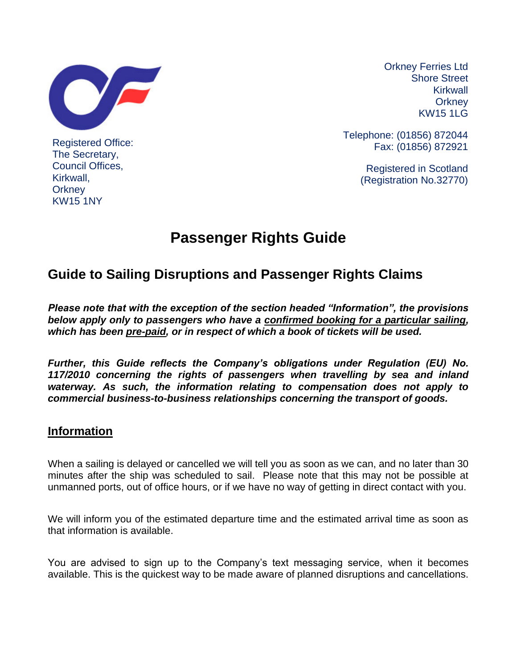

Registered Office: The Secretary, Council Offices, Kirkwall, **Orkney** KW15 1NY

Orkney Ferries Ltd Shore Street Kirkwall **Orkney** KW15 1LG

Telephone: (01856) 872044 Fax: (01856) 872921

> Registered in Scotland (Registration No.32770)

# **Passenger Rights Guide**

## **Guide to Sailing Disruptions and Passenger Rights Claims**

*Please note that with the exception of the section headed "Information", the provisions below apply only to passengers who have a confirmed booking for a particular sailing, which has been pre-paid, or in respect of which a book of tickets will be used.*

*Further, this Guide reflects the Company's obligations under Regulation (EU) No. 117/2010 concerning the rights of passengers when travelling by sea and inland waterway. As such, the information relating to compensation does not apply to commercial business-to-business relationships concerning the transport of goods.*

#### **Information**

When a sailing is delayed or cancelled we will tell you as soon as we can, and no later than 30 minutes after the ship was scheduled to sail. Please note that this may not be possible at unmanned ports, out of office hours, or if we have no way of getting in direct contact with you.

We will inform you of the estimated departure time and the estimated arrival time as soon as that information is available.

You are advised to sign up to the Company's text messaging service, when it becomes available. This is the quickest way to be made aware of planned disruptions and cancellations.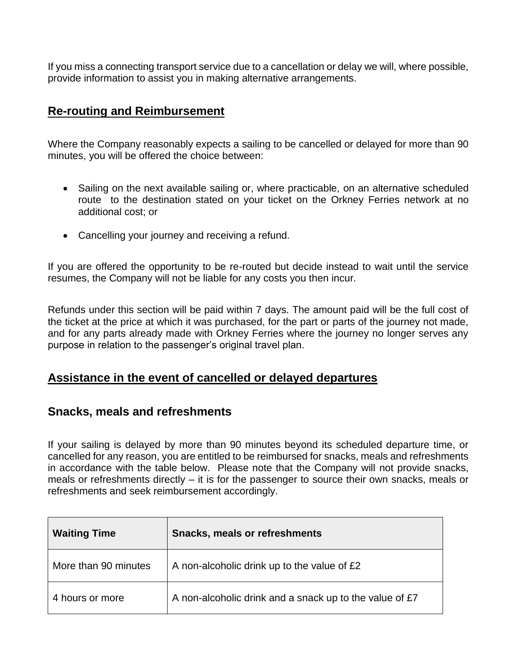If you miss a connecting transport service due to a cancellation or delay we will, where possible, provide information to assist you in making alternative arrangements.

#### **Re-routing and Reimbursement**

Where the Company reasonably expects a sailing to be cancelled or delayed for more than 90 minutes, you will be offered the choice between:

- Sailing on the next available sailing or, where practicable, on an alternative scheduled route to the destination stated on your ticket on the Orkney Ferries network at no additional cost; or
- Cancelling your journey and receiving a refund.

If you are offered the opportunity to be re-routed but decide instead to wait until the service resumes, the Company will not be liable for any costs you then incur.

Refunds under this section will be paid within 7 days. The amount paid will be the full cost of the ticket at the price at which it was purchased, for the part or parts of the journey not made, and for any parts already made with Orkney Ferries where the journey no longer serves any purpose in relation to the passenger's original travel plan.

#### **Assistance in the event of cancelled or delayed departures**

#### **Snacks, meals and refreshments**

If your sailing is delayed by more than 90 minutes beyond its scheduled departure time, or cancelled for any reason, you are entitled to be reimbursed for snacks, meals and refreshments in accordance with the table below. Please note that the Company will not provide snacks, meals or refreshments directly – it is for the passenger to source their own snacks, meals or refreshments and seek reimbursement accordingly.

| <b>Waiting Time</b>  | <b>Snacks, meals or refreshments</b>                    |  |
|----------------------|---------------------------------------------------------|--|
| More than 90 minutes | A non-alcoholic drink up to the value of £2             |  |
| 4 hours or more      | A non-alcoholic drink and a snack up to the value of £7 |  |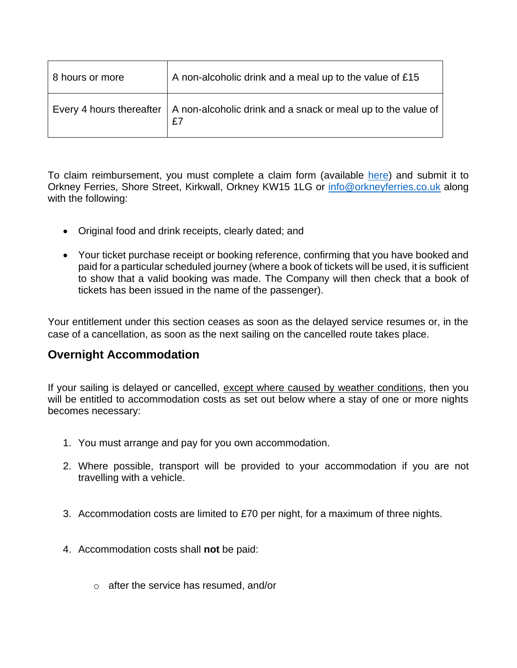| 8 hours or more | A non-alcoholic drink and a meal up to the value of £15                                       |
|-----------------|-----------------------------------------------------------------------------------------------|
|                 | Every 4 hours thereafter   A non-alcoholic drink and a snack or meal up to the value of<br>£7 |

To claim reimbursement, you must complete a claim form (available [here\)](http://www.orkneyferries.co.uk/pdfs/conditions/compensation_refund_request_form.pdf) and submit it to Orkney Ferries, Shore Street, Kirkwall, Orkney KW15 1LG or [info@orkneyferries.co.uk](mailto:info@orkneyferries.co.uk) along with the following:

- Original food and drink receipts, clearly dated; and
- Your ticket purchase receipt or booking reference, confirming that you have booked and paid for a particular scheduled journey (where a book of tickets will be used, it is sufficient to show that a valid booking was made. The Company will then check that a book of tickets has been issued in the name of the passenger).

Your entitlement under this section ceases as soon as the delayed service resumes or, in the case of a cancellation, as soon as the next sailing on the cancelled route takes place.

#### **Overnight Accommodation**

If your sailing is delayed or cancelled, except where caused by weather conditions, then you will be entitled to accommodation costs as set out below where a stay of one or more nights becomes necessary:

- 1. You must arrange and pay for you own accommodation.
- 2. Where possible, transport will be provided to your accommodation if you are not travelling with a vehicle.
- 3. Accommodation costs are limited to £70 per night, for a maximum of three nights.
- 4. Accommodation costs shall **not** be paid:
	- o after the service has resumed, and/or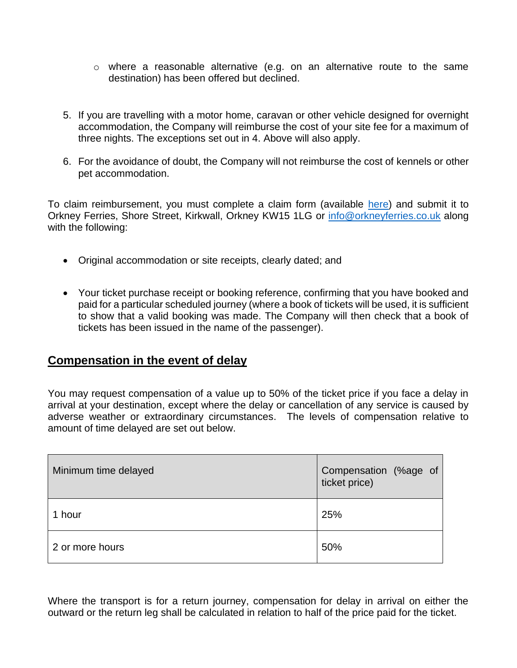- $\circ$  where a reasonable alternative (e.g. on an alternative route to the same destination) has been offered but declined.
- 5. If you are travelling with a motor home, caravan or other vehicle designed for overnight accommodation, the Company will reimburse the cost of your site fee for a maximum of three nights. The exceptions set out in 4. Above will also apply.
- 6. For the avoidance of doubt, the Company will not reimburse the cost of kennels or other pet accommodation.

To claim reimbursement, you must complete a claim form (available [here\)](http://www.orkneyferries.co.uk/pdfs/conditions/compensation_refund_request_form.pdf) and submit it to Orkney Ferries, Shore Street, Kirkwall, Orkney KW15 1LG or [info@orkneyferries.co.uk](mailto:info@orkneyferries.co.uk) along with the following:

- Original accommodation or site receipts, clearly dated; and
- Your ticket purchase receipt or booking reference, confirming that you have booked and paid for a particular scheduled journey (where a book of tickets will be used, it is sufficient to show that a valid booking was made. The Company will then check that a book of tickets has been issued in the name of the passenger).

#### **Compensation in the event of delay**

You may request compensation of a value up to 50% of the ticket price if you face a delay in arrival at your destination, except where the delay or cancellation of any service is caused by adverse weather or extraordinary circumstances. The levels of compensation relative to amount of time delayed are set out below.

| Minimum time delayed | Compensation (%age of<br>ticket price) |
|----------------------|----------------------------------------|
| 1 hour               | 25%                                    |
| 2 or more hours      | 50%                                    |

Where the transport is for a return journey, compensation for delay in arrival on either the outward or the return leg shall be calculated in relation to half of the price paid for the ticket.